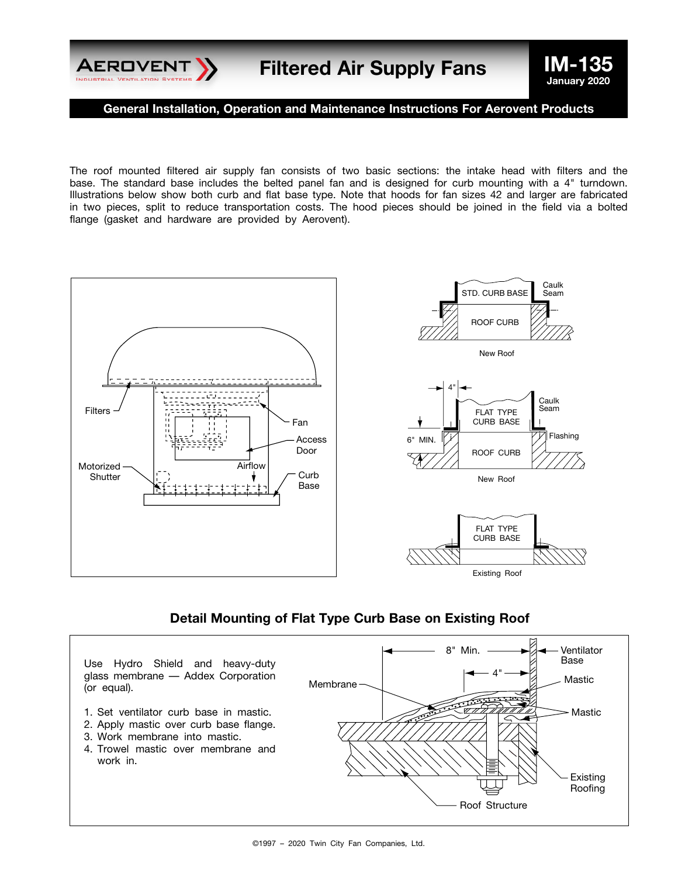

**General Installation, Operation and Maintenance Instructions For Aerovent Products**

The roof mounted filtered air supply fan consists of two basic sections: the intake head with filters and the base. The standard base includes the belted panel fan and is designed for curb mounting with a 4" turndown. Illustrations below show both curb and flat base type. Note that hoods for fan sizes 42 and larger are fabricated in two pieces, split to reduce transportation costs. The hood pieces should be joined in the field via a bolted flange (gasket and hardware are provided by Aerovent).



#### **Detail Mounting of Flat Type Curb Base on Existing Roof**